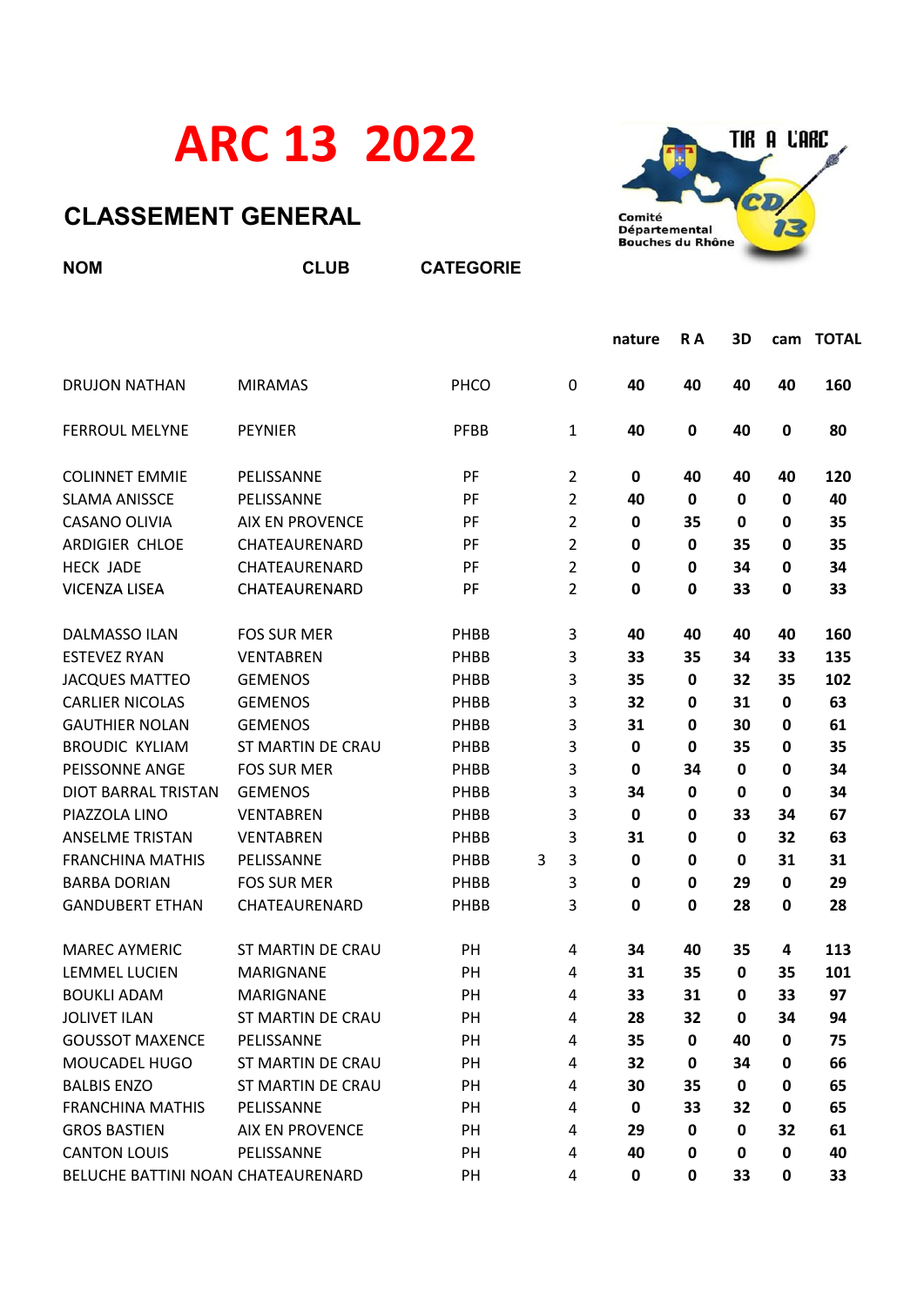## ARC 13 2022

## CLASSEMENT GENERAL



| <b>NOM</b>              | <b>CLUB</b>              | <b>CATEGORIE</b> |   |                |             |             |             |             |     |  |
|-------------------------|--------------------------|------------------|---|----------------|-------------|-------------|-------------|-------------|-----|--|
|                         |                          |                  |   | nature         | R A         | 3D          |             | cam TOTAL   |     |  |
| <b>DRUJON NATHAN</b>    | <b>MIRAMAS</b>           | PHCO             |   | 0              | 40          | 40          | 40          | 40          | 160 |  |
| <b>FERROUL MELYNE</b>   | <b>PEYNIER</b>           | <b>PFBB</b>      |   | 1              | 40          | $\pmb{0}$   | 40          | 0           | 80  |  |
| <b>COLINNET EMMIE</b>   | PELISSANNE               | PF               |   | $\overline{2}$ | 0           | 40          | 40          | 40          | 120 |  |
| <b>SLAMA ANISSCE</b>    | PELISSANNE               | PF               |   | 2              | 40          | $\mathbf 0$ | $\mathbf 0$ | 0           | 40  |  |
| CASANO OLIVIA           | <b>AIX EN PROVENCE</b>   | PF               |   | 2              | 0           | 35          | $\mathbf 0$ | 0           | 35  |  |
| ARDIGIER CHLOE          | CHATEAURENARD            | PF               |   | 2              | 0           | 0           | 35          | 0           | 35  |  |
| <b>HECK JADE</b>        | CHATEAURENARD            | PF               |   | $\overline{2}$ | $\mathbf 0$ | 0           | 34          | 0           | 34  |  |
| VICENZA LISEA           | CHATEAURENARD            | PF               |   | $\overline{2}$ | 0           | 0           | 33          | 0           | 33  |  |
| <b>DALMASSO ILAN</b>    | <b>FOS SUR MER</b>       | PHBB             |   | 3              | 40          | 40          | 40          | 40          | 160 |  |
| <b>ESTEVEZ RYAN</b>     | <b>VENTABREN</b>         | PHBB             |   | 3              | 33          | 35          | 34          | 33          | 135 |  |
| <b>JACQUES MATTEO</b>   | <b>GEMENOS</b>           | PHBB             |   | 3              | 35          | $\mathbf 0$ | 32          | 35          | 102 |  |
| <b>CARLIER NICOLAS</b>  | <b>GEMENOS</b>           | PHBB             |   | 3              | 32          | 0           | 31          | 0           | 63  |  |
| <b>GAUTHIER NOLAN</b>   | <b>GEMENOS</b>           | PHBB             |   | 3              | 31          | $\mathbf 0$ | 30          | 0           | 61  |  |
| <b>BROUDIC KYLIAM</b>   | <b>ST MARTIN DE CRAU</b> | PHBB             |   | 3              | 0           | 0           | 35          | 0           | 35  |  |
| PEISSONNE ANGE          | <b>FOS SUR MER</b>       | PHBB             |   | 3              | 0           | 34          | 0           | 0           | 34  |  |
| DIOT BARRAL TRISTAN     | <b>GEMENOS</b>           | PHBB             |   | 3              | 34          | $\mathbf 0$ | 0           | 0           | 34  |  |
| PIAZZOLA LINO           | <b>VENTABREN</b>         | PHBB             |   | 3              | 0           | $\mathbf 0$ | 33          | 34          | 67  |  |
| <b>ANSELME TRISTAN</b>  | <b>VENTABREN</b>         | PHBB             |   | 3              | 31          | 0           | $\mathbf 0$ | 32          | 63  |  |
| <b>FRANCHINA MATHIS</b> | PELISSANNE               | PHBB             | 3 | 3              | 0           | 0           | 0           | 31          | 31  |  |
| <b>BARBA DORIAN</b>     | <b>FOS SUR MER</b>       | PHBB             |   | 3              | 0           | 0           | 29          | $\mathbf 0$ | 29  |  |
| <b>GANDUBERT ETHAN</b>  | CHATEAURENARD            | PHBB             |   | 3              | 0           | 0           | 28          | 0           | 28  |  |
| <b>MAREC AYMERIC</b>    | <b>ST MARTIN DE CRAU</b> | PH               |   | 4              | 34          | 40          | 35          | 4           | 113 |  |
| LEMMEL LUCIEN           | <b>MARIGNANE</b>         | PH               |   | 4              | 31          | 35          | 0           | 35          | 101 |  |
| <b>BOUKLI ADAM</b>      | <b>MARIGNANE</b>         | PH               |   | 4              | 33          | 31          | 0           | 33          | 97  |  |
| <b>JOLIVET ILAN</b>     | <b>ST MARTIN DE CRAU</b> | PH               |   | 4              | 28          | 32          | 0           | 34          | 94  |  |
| <b>GOUSSOT MAXENCE</b>  | PELISSANNE               | PH               |   | 4              | 35          | $\mathbf 0$ | 40          | 0           | 75  |  |
| MOUCADEL HUGO           | ST MARTIN DE CRAU        | PH               |   | 4              | 32          | 0           | 34          | 0           | 66  |  |
| <b>BALBIS ENZO</b>      | <b>ST MARTIN DE CRAU</b> | PH               |   | 4              | 30          | 35          | 0           | 0           | 65  |  |
| <b>FRANCHINA MATHIS</b> | PELISSANNE               | PH               |   | 4              | $\pmb{0}$   | 33          | 32          | 0           | 65  |  |
| <b>GROS BASTIEN</b>     | <b>AIX EN PROVENCE</b>   | PH               |   | 4              | 29          | $\mathbf 0$ | 0           | 32          | 61  |  |
| <b>CANTON LOUIS</b>     | PELISSANNE               | PH               |   | 4              | 40          | $\pmb{0}$   | 0           | 0           | 40  |  |

BELUCHE BATTINI NOAN CHATEAURENARD PH 4 0 0 33 0 33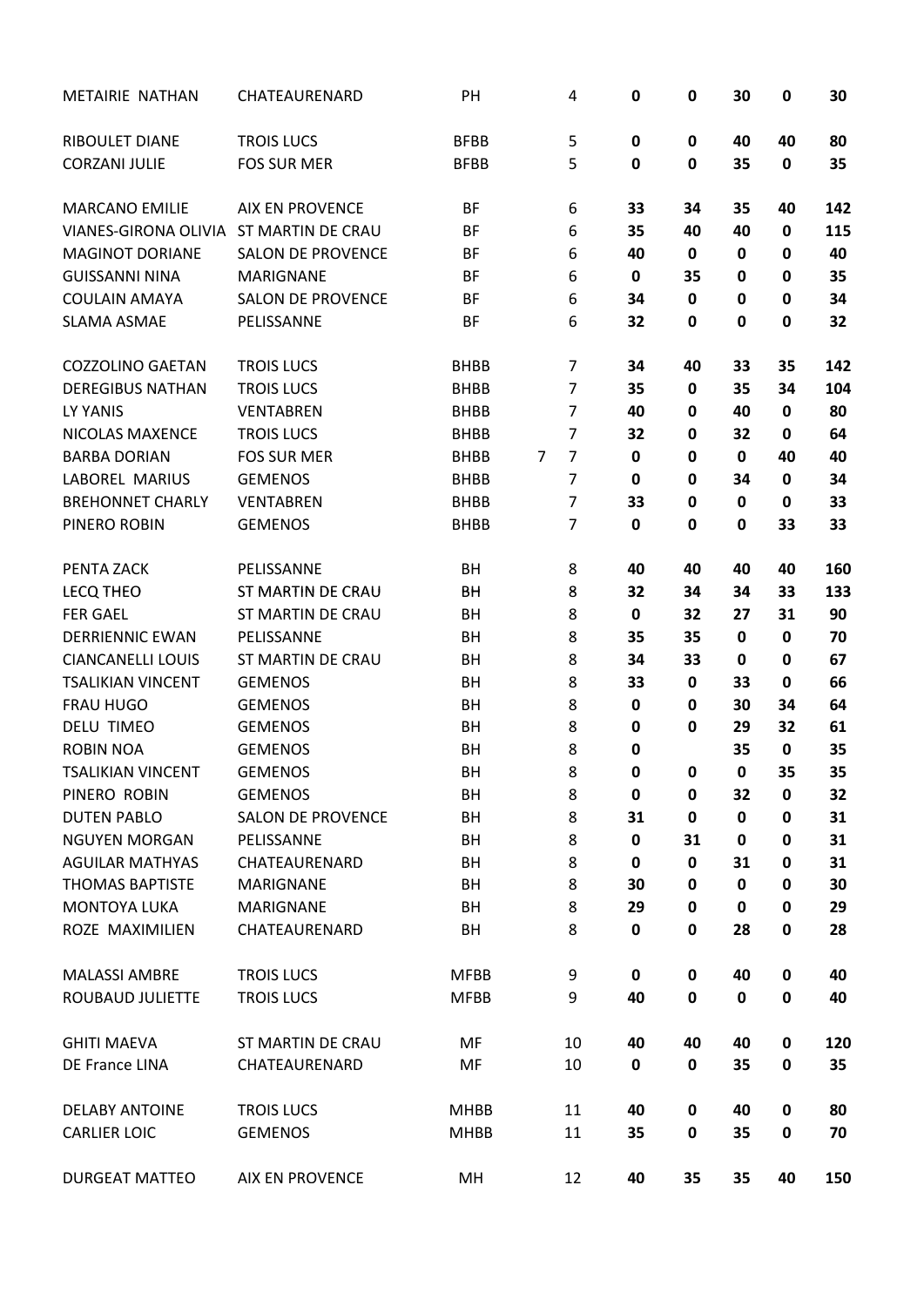| METAIRIE NATHAN          | CHATEAURENARD            | PH          | 4                   | 0           | $\pmb{0}$   | 30        | $\mathbf 0$ | 30  |
|--------------------------|--------------------------|-------------|---------------------|-------------|-------------|-----------|-------------|-----|
| <b>RIBOULET DIANE</b>    | <b>TROIS LUCS</b>        | <b>BFBB</b> | 5                   | 0           | 0           | 40        | 40          | 80  |
| <b>CORZANI JULIE</b>     | <b>FOS SUR MER</b>       | <b>BFBB</b> | 5                   | $\mathbf 0$ | 0           | 35        | $\mathbf 0$ | 35  |
| <b>MARCANO EMILIE</b>    | <b>AIX EN PROVENCE</b>   | BF          | 6                   | 33          | 34          | 35        | 40          | 142 |
| VIANES-GIRONA OLIVIA     | <b>ST MARTIN DE CRAU</b> | BF          | 6                   | 35          | 40          | 40        | 0           | 115 |
| <b>MAGINOT DORIANE</b>   | <b>SALON DE PROVENCE</b> | <b>BF</b>   | 6                   | 40          | $\mathbf 0$ | 0         | $\mathbf 0$ | 40  |
| <b>GUISSANNI NINA</b>    | <b>MARIGNANE</b>         | BF          | 6                   | $\pmb{0}$   | 35          | 0         | 0           | 35  |
| <b>COULAIN AMAYA</b>     | <b>SALON DE PROVENCE</b> | BF          | 6                   | 34          | $\mathbf 0$ | 0         | 0           | 34  |
| <b>SLAMA ASMAE</b>       | PELISSANNE               | <b>BF</b>   | 6                   | 32          | 0           | 0         | $\bf{0}$    | 32  |
| <b>COZZOLINO GAETAN</b>  | <b>TROIS LUCS</b>        | <b>BHBB</b> | $\overline{7}$      | 34          | 40          | 33        | 35          | 142 |
| <b>DEREGIBUS NATHAN</b>  | <b>TROIS LUCS</b>        | <b>BHBB</b> | $\overline{7}$      | 35          | $\mathbf 0$ | 35        | 34          | 104 |
| LY YANIS                 | <b>VENTABREN</b>         | <b>BHBB</b> | $\overline{7}$      | 40          | 0           | 40        | $\mathbf 0$ | 80  |
| <b>NICOLAS MAXENCE</b>   | <b>TROIS LUCS</b>        | <b>BHBB</b> | $\overline{7}$      | 32          | 0           | 32        | 0           | 64  |
| <b>BARBA DORIAN</b>      | <b>FOS SUR MER</b>       | <b>BHBB</b> | $\overline{7}$<br>7 | 0           | 0           | 0         | 40          | 40  |
| <b>LABOREL MARIUS</b>    | <b>GEMENOS</b>           | <b>BHBB</b> | $\overline{7}$      | 0           | 0           | 34        | 0           | 34  |
| <b>BREHONNET CHARLY</b>  | <b>VENTABREN</b>         | <b>BHBB</b> | $\overline{7}$      | 33          | 0           | 0         | 0           | 33  |
| PINERO ROBIN             | <b>GEMENOS</b>           | <b>BHBB</b> | $\overline{7}$      | 0           | 0           | 0         | 33          | 33  |
| PENTA ZACK               | PELISSANNE               | BH          | 8                   | 40          | 40          | 40        | 40          | 160 |
| <b>LECQ THEO</b>         | <b>ST MARTIN DE CRAU</b> | BH          | 8                   | 32          | 34          | 34        | 33          | 133 |
| <b>FER GAEL</b>          | <b>ST MARTIN DE CRAU</b> | BH          | 8                   | 0           | 32          | 27        | 31          | 90  |
| <b>DERRIENNIC EWAN</b>   | PELISSANNE               | BH          | 8                   | 35          | 35          | 0         | $\mathbf 0$ | 70  |
| <b>CIANCANELLI LOUIS</b> | <b>ST MARTIN DE CRAU</b> | BH          | 8                   | 34          | 33          | 0         | $\mathbf 0$ | 67  |
| <b>TSALIKIAN VINCENT</b> | <b>GEMENOS</b>           | BH          | 8                   | 33          | $\mathbf 0$ | 33        | $\mathbf 0$ | 66  |
| <b>FRAU HUGO</b>         | <b>GEMENOS</b>           | BH          | 8                   | $\pmb{0}$   | 0           | 30        | 34          | 64  |
| <b>DELU TIMEO</b>        | <b>GEMENOS</b>           | BH          | 8                   | 0           | 0           | 29        | 32          | 61  |
| <b>ROBIN NOA</b>         | <b>GEMENOS</b>           | BH          | 8                   | 0           |             | 35        | $\mathbf 0$ | 35  |
| <b>TSALIKIAN VINCENT</b> | <b>GEMENOS</b>           | BH          | 8                   | 0           | 0           | 0         | 35          | 35  |
| PINERO ROBIN             | <b>GEMENOS</b>           | BH          | 8                   | $\pmb{0}$   | 0           | 32        | 0           | 32  |
| <b>DUTEN PABLO</b>       | <b>SALON DE PROVENCE</b> | BH          | 8                   | 31          | $\mathbf 0$ | 0         | $\mathbf 0$ | 31  |
| <b>NGUYEN MORGAN</b>     | PELISSANNE               | BH          | 8                   | 0           | 31          | 0         | $\mathbf 0$ | 31  |
| <b>AGUILAR MATHYAS</b>   | CHATEAURENARD            | BH          | 8                   | $\pmb{0}$   | $\pmb{0}$   | 31        | 0           | 31  |
| <b>THOMAS BAPTISTE</b>   | <b>MARIGNANE</b>         | BH          | 8                   | 30          | 0           | 0         | 0           | 30  |
| <b>MONTOYA LUKA</b>      | <b>MARIGNANE</b>         | BH          | 8                   | 29          | 0           | $\pmb{0}$ | 0           | 29  |
| ROZE MAXIMILIEN          | CHATEAURENARD            | BH          | 8                   | 0           | 0           | 28        | $\bf{0}$    | 28  |
| <b>MALASSI AMBRE</b>     | <b>TROIS LUCS</b>        | <b>MFBB</b> | 9                   | $\mathbf 0$ | $\pmb{0}$   | 40        | $\pmb{0}$   | 40  |
| ROUBAUD JULIETTE         | <b>TROIS LUCS</b>        | <b>MFBB</b> | 9                   | 40          | $\mathbf 0$ | 0         | $\bf{0}$    | 40  |
| <b>GHITI MAEVA</b>       | <b>ST MARTIN DE CRAU</b> | MF          | 10                  | 40          | 40          | 40        | 0           | 120 |
| DE France LINA           | CHATEAURENARD            | MF          | 10                  | 0           | $\pmb{0}$   | 35        | $\bf{0}$    | 35  |
| <b>DELABY ANTOINE</b>    | <b>TROIS LUCS</b>        | <b>MHBB</b> | 11                  | 40          | $\mathbf 0$ | 40        | $\mathbf 0$ | 80  |
| <b>CARLIER LOIC</b>      | <b>GEMENOS</b>           | <b>MHBB</b> | 11                  | 35          | $\pmb{0}$   | 35        | $\mathbf 0$ | 70  |
| <b>DURGEAT MATTEO</b>    | <b>AIX EN PROVENCE</b>   | MH          | 12                  | 40          | 35          | 35        | 40          | 150 |